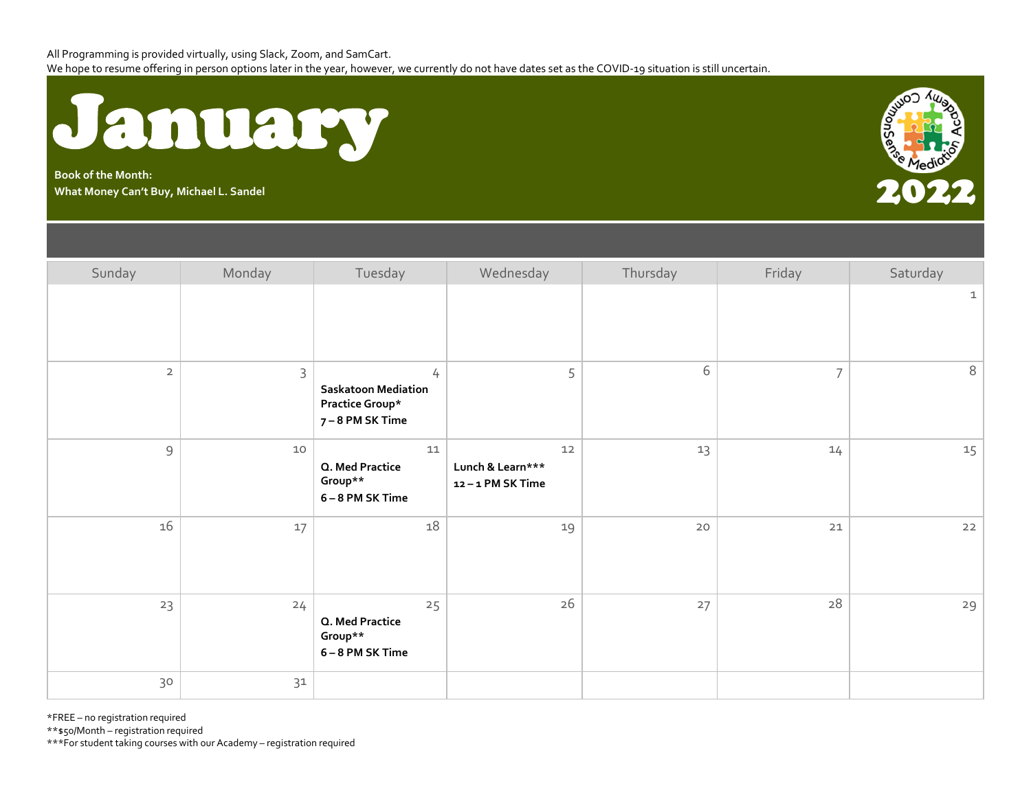

**Book of the Month:** Book of the Month:<br>What Money Can't Buy, Michael L. Sandel 2022 **Property and Controlled Controlled Controlled Controlled Controlled Controlled Controlled Controlled Controlled Controlled Controlled Controlled Controlled C** 



| Sunday                                                                                                                                                                                                                                                                                                                                                                                                                                                   | Monday      | Tuesday                                                              | Wednesday                                 | Thursday | Friday         | Saturday     |
|----------------------------------------------------------------------------------------------------------------------------------------------------------------------------------------------------------------------------------------------------------------------------------------------------------------------------------------------------------------------------------------------------------------------------------------------------------|-------------|----------------------------------------------------------------------|-------------------------------------------|----------|----------------|--------------|
|                                                                                                                                                                                                                                                                                                                                                                                                                                                          |             |                                                                      |                                           |          |                | $\mathbf{1}$ |
| $\overline{2}$                                                                                                                                                                                                                                                                                                                                                                                                                                           | $\mathsf 3$ | 4<br><b>Saskatoon Mediation</b><br>Practice Group*<br>7-8 PM SK Time | 5                                         | 6        | $\overline{7}$ | 8            |
| $\mathsf{S}% _{T}=\mathsf{S}_{T}\!\left( a,b\right) ,\ \mathsf{S}_{T}=\mathsf{S}_{T}\!\left( a,b\right) ,\ \mathsf{S}_{T}=\mathsf{S}_{T}\!\left( a,b\right) ,\ \mathsf{S}_{T}=\mathsf{S}_{T}\!\left( a,b\right) ,\ \mathsf{S}_{T}=\mathsf{S}_{T}\!\left( a,b\right) ,\ \mathsf{S}_{T}=\mathsf{S}_{T}\!\left( a,b\right) ,\ \mathsf{S}_{T}=\mathsf{S}_{T}\!\left( a,b\right) ,\ \mathsf{S}_{T}=\mathsf{S}_{T}\!\left( a,b\right) ,\ \mathsf{S}_{T}=\math$ | 10          | 11<br>Q. Med Practice<br>Group**<br>6-8 PM SK Time                   | 12<br>Lunch & Learn***<br>12-1 PM SK Time | 13       | 14             | 15           |
| 16                                                                                                                                                                                                                                                                                                                                                                                                                                                       | $17$        | 18                                                                   | 19                                        | $20$     | 21             | 22           |
| 23                                                                                                                                                                                                                                                                                                                                                                                                                                                       | 24          | 25<br>Q. Med Practice<br>Group**<br>6-8 PM SK Time                   | 26                                        | 27       | 28             | 29           |
| 30                                                                                                                                                                                                                                                                                                                                                                                                                                                       | $31$        |                                                                      |                                           |          |                |              |

\*FREE – no registration required

\*\*\$50/Month – registration required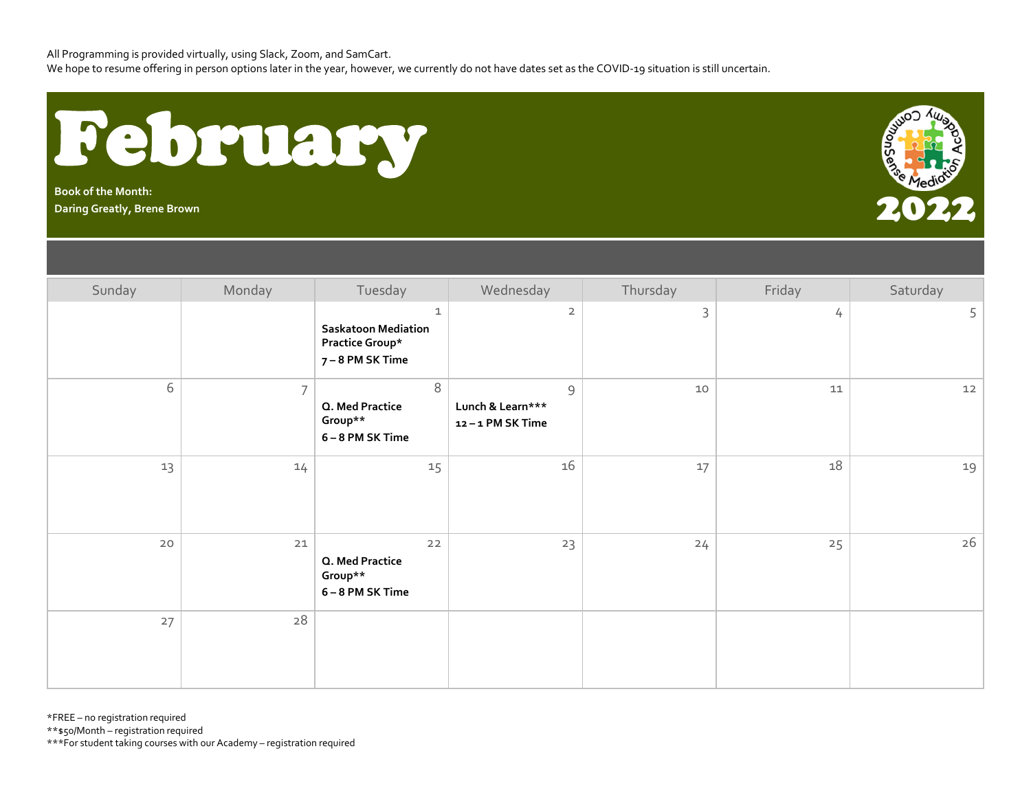All Programming is provided virtually, using Slack, Zoom, and SamCart.

We hope to resume offering in person options later in the year, however, we currently do not have dates set as the COVID-19 situation is still uncertain.



**Book of the Month:**



| Sunday | Monday         | Tuesday                                                                | Wednesday                                                  | Thursday    | Friday | Saturday |
|--------|----------------|------------------------------------------------------------------------|------------------------------------------------------------|-------------|--------|----------|
|        |                | 1<br><b>Saskatoon Mediation</b><br>Practice Group*<br>7 – 8 PM SK Time | $\overline{2}$                                             | $\mathsf 3$ | 4      | 5        |
| 6      | $\overline{7}$ | 8<br>Q. Med Practice<br>Group**<br>6-8 PM SK Time                      | $\mathsf{S}\xspace$<br>Lunch & Learn***<br>12-1 PM SK Time | 10          | 11     | 12       |
| 13     | 14             | 15                                                                     | 16                                                         | 17          | 18     | 19       |
| $20$   | 21             | $22$<br>Q. Med Practice<br>Group**<br>6-8 PM SK Time                   | 23                                                         | 24          | 25     | 26       |
| 27     | 28             |                                                                        |                                                            |             |        |          |

\*FREE – no registration required

\*\*\$50/Month – registration required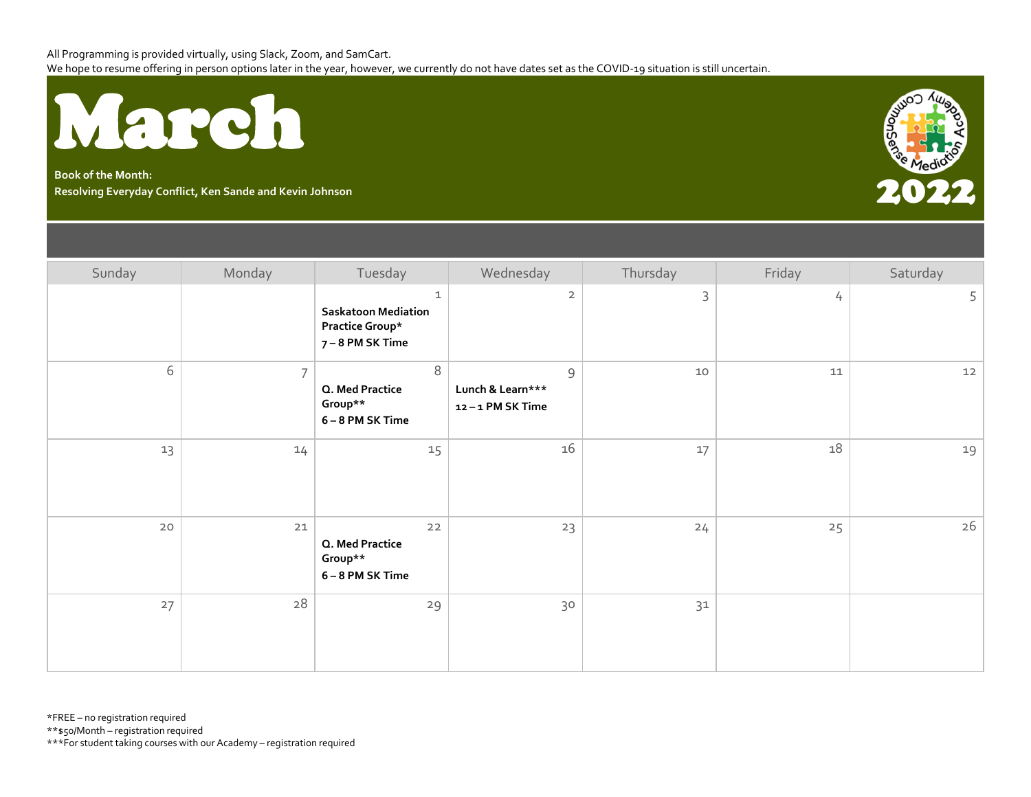

**Book of the Month: Resolving Everyday Conflict, Ken Sande and Kevin Johnson** 2022



| Sunday | Monday         | Tuesday                                                                          | Wednesday                                                  | Thursday | Friday | Saturday |
|--------|----------------|----------------------------------------------------------------------------------|------------------------------------------------------------|----------|--------|----------|
|        |                | $\mathbf 1$<br><b>Saskatoon Mediation</b><br>Practice Group*<br>7 – 8 PM SK Time | $\overline{2}$                                             | 3        | 4      | 5        |
| 6      | $\overline{7}$ | $\,8\,$<br>Q. Med Practice<br>Group**<br>6-8 PM SK Time                          | $\mathsf{S}\xspace$<br>Lunch & Learn***<br>12-1 PM SK Time | 10       | 11     | $12$     |
| 13     | 14             | 15                                                                               | 16                                                         | 17       | 18     | 19       |
| $20$   | 21             | $22$<br>Q. Med Practice<br>Group**<br>6-8 PM SK Time                             | 23                                                         | 24       | 25     | 26       |
| 27     | 28             | 29                                                                               | 30                                                         | 31       |        |          |

\*FREE – no registration required

\*\*\$50/Month – registration required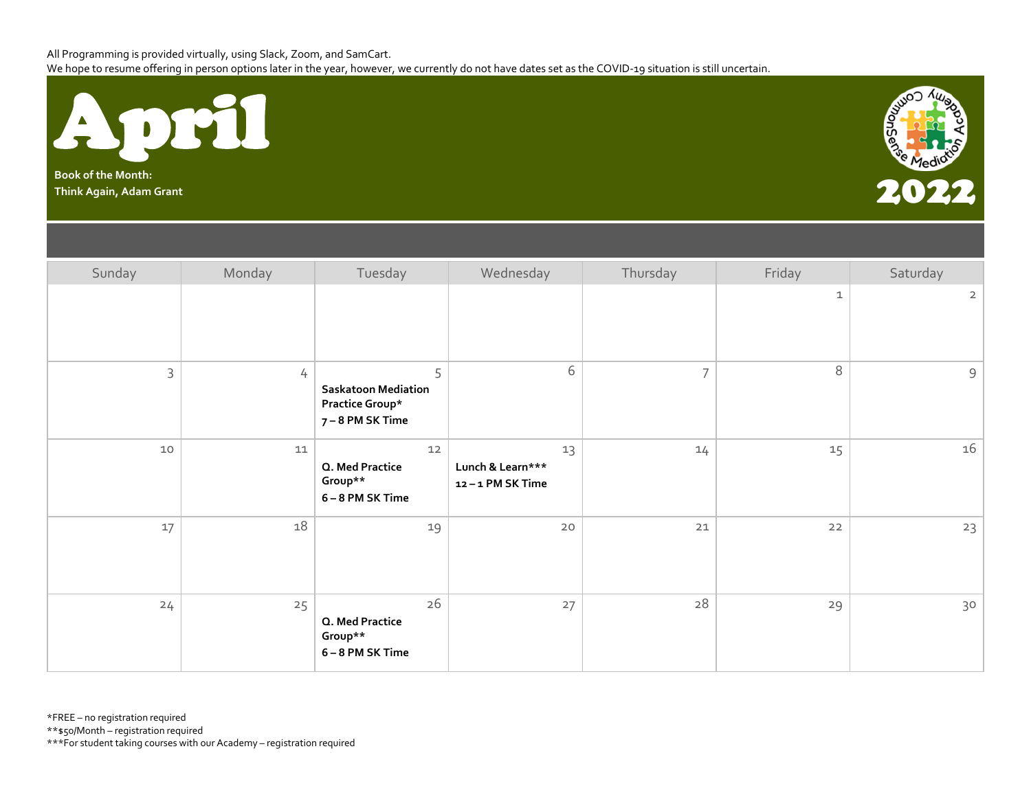

**Book of the Month:**



| Sunday | Monday | Tuesday                                                                | Wednesday                                 | Thursday       | Friday      | Saturday       |
|--------|--------|------------------------------------------------------------------------|-------------------------------------------|----------------|-------------|----------------|
|        |        |                                                                        |                                           |                | $\mathbf 1$ | $\overline{2}$ |
| 3      | 4      | 5<br><b>Saskatoon Mediation</b><br>Practice Group*<br>7 – 8 PM SK Time | 6                                         | $\overline{7}$ | 8           | $\mathsf 9$    |
| $10$   | $11\,$ | $12$<br>Q. Med Practice<br>Group**<br>6-8 PM SK Time                   | 13<br>Lunch & Learn***<br>12-1 PM SK Time | 14             | 15          | 16             |
| 17     | 18     | 19                                                                     | $20$                                      | $21$           | 22          | 23             |
| 24     | 25     | 26<br>Q. Med Practice<br>Group**<br>6-8 PM SK Time                     | 27                                        | $28\,$         | 29          | 30             |

\*FREE – no registration required

\*\*\$50/Month – registration required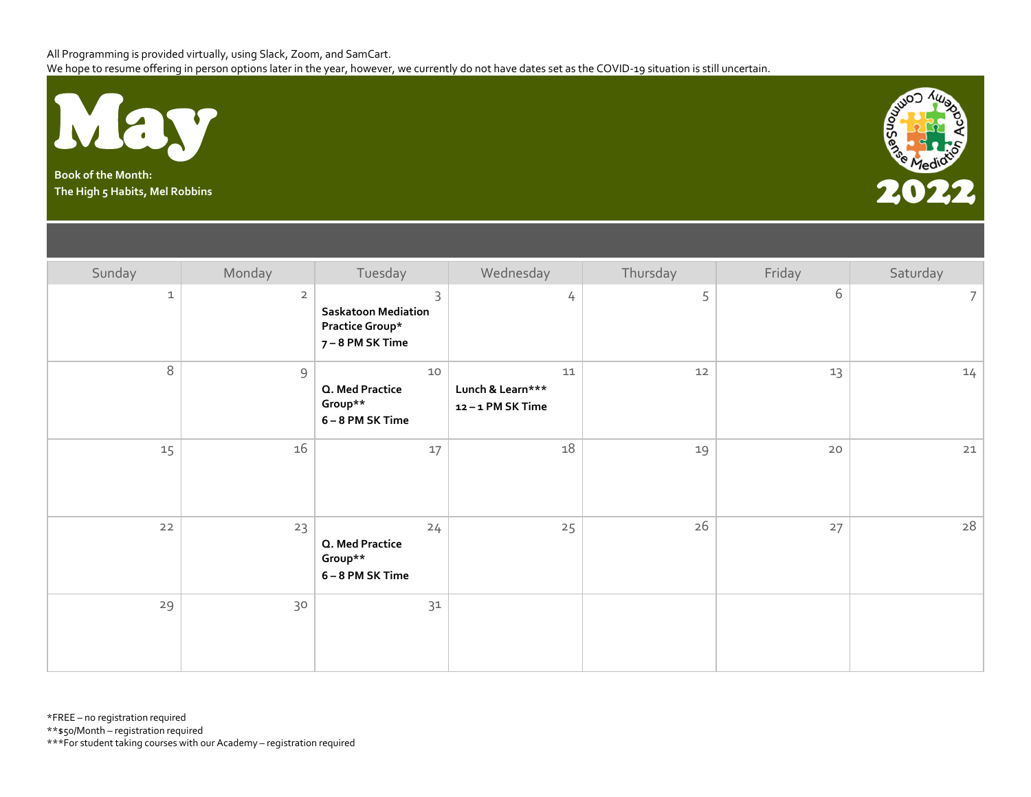

**Book of the Month:**



| Sunday      | Monday              | Tuesday                                                                | Wednesday                                     | Thursday | Friday | Saturday       |
|-------------|---------------------|------------------------------------------------------------------------|-----------------------------------------------|----------|--------|----------------|
| $\mathbf 1$ | $\overline{2}$      | 3<br><b>Saskatoon Mediation</b><br>Practice Group*<br>7 – 8 PM SK Time | 4                                             | 5        | 6      | $\overline{7}$ |
| 8           | $\mathsf{S}\xspace$ | 10<br>Q. Med Practice<br>Group**<br>6-8 PM SK Time                     | $11\,$<br>Lunch & Learn***<br>12-1 PM SK Time | 12       | 13     | 14             |
| 15          | 16                  | 17                                                                     | 18                                            | 19       | 20     | $21$           |
| $22$        | 23                  | 24<br>Q. Med Practice<br>Group**<br>6-8 PM SK Time                     | 25                                            | 26       | 27     | 28             |
| 29          | 30                  | 31                                                                     |                                               |          |        |                |

\*FREE – no registration required

\*\*\$50/Month – registration required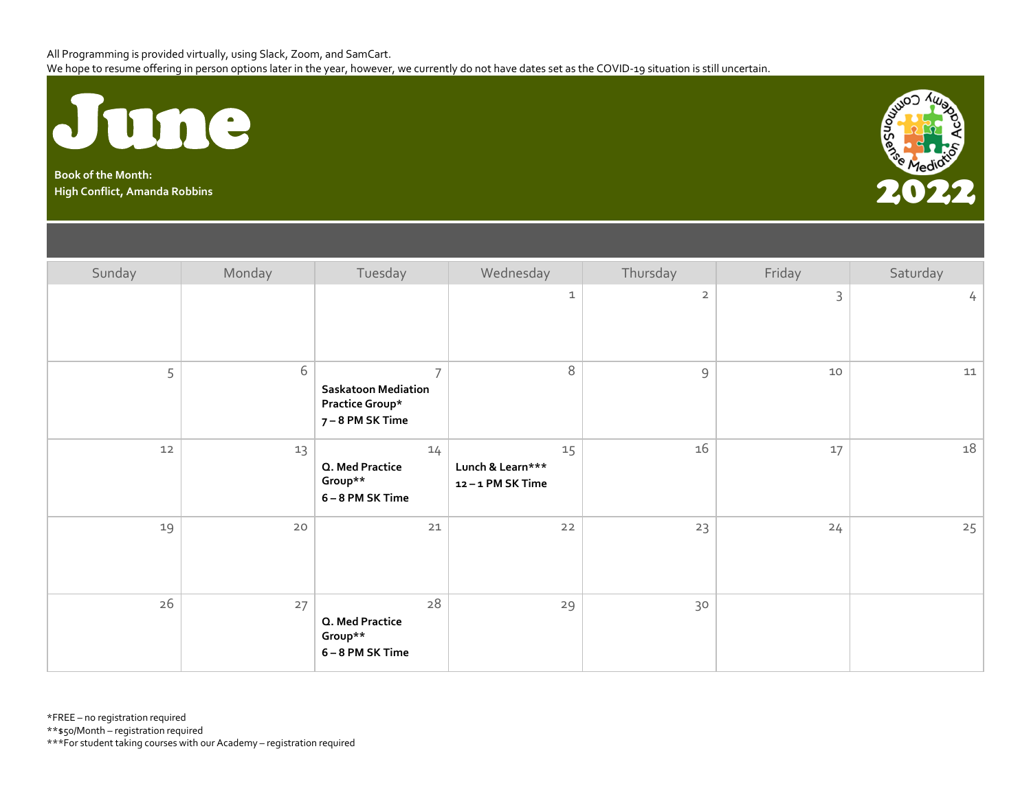

**Book of the Month:**



| Sunday | Monday | Tuesday                                                                             | Wednesday                                 | Thursday            | Friday | Saturday             |
|--------|--------|-------------------------------------------------------------------------------------|-------------------------------------------|---------------------|--------|----------------------|
|        |        |                                                                                     | $\mathtt 1$                               | $\overline{2}$      | 3      | $\frac{1}{\sqrt{2}}$ |
| 5      | 6      | $\overline{7}$<br><b>Saskatoon Mediation</b><br>Practice Group*<br>7 – 8 PM SK Time | $\, 8$                                    | $\mathsf{S}\xspace$ | 10     | $11\,$               |
| $12$   | 13     | 14<br>Q. Med Practice<br>Group**<br>6-8 PM SK Time                                  | 15<br>Lunch & Learn***<br>12-1 PM SK Time | $16\,$              | 17     | 18                   |
| 19     | 20     | 21                                                                                  | $22$                                      | 23                  | 24     | 25                   |
| 26     | 27     | 28<br>Q. Med Practice<br>Group**<br>6-8 PM SK Time                                  | 29                                        | 30                  |        |                      |

\*FREE – no registration required

\*\*\$50/Month – registration required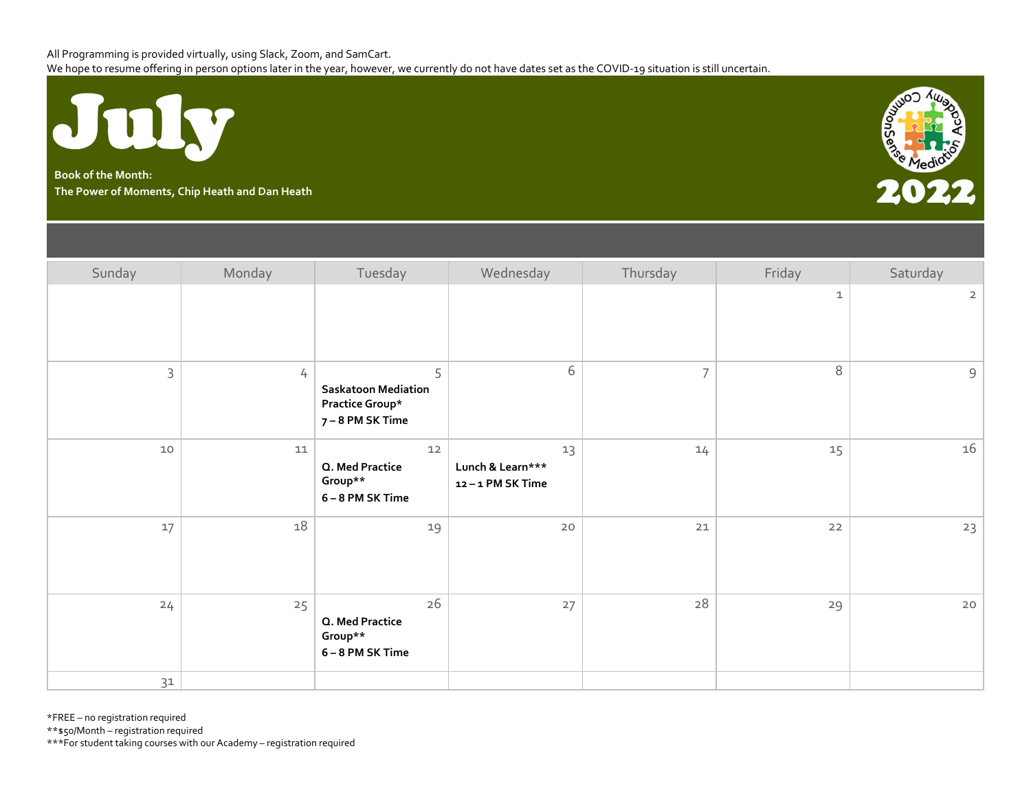

**Book of the Month:** Book of the Month:<br>The Power of Moments, Chip Heath and Dan Heath 2022 **Property and Chip And Chip And Chip And Chip And Chip And C**<br>The Power of Moments, Chip Heath and Dan Heath 2022 Property and Chip And Chip And Chip A



| Sunday       | Monday     | Tuesday                                                              | Wednesday                                 | Thursday       | Friday       | Saturday       |
|--------------|------------|----------------------------------------------------------------------|-------------------------------------------|----------------|--------------|----------------|
|              |            |                                                                      |                                           |                | $\mathbf{1}$ | $\overline{2}$ |
| $\mathsf{3}$ | 4          | 5<br><b>Saskatoon Mediation</b><br>Practice Group*<br>7-8 PM SK Time | 6                                         | $\overline{7}$ | 8            | 9              |
| $10$         | ${\bf 11}$ | $12$<br>Q. Med Practice<br>Group**<br>6-8 PM SK Time                 | 13<br>Lunch & Learn***<br>12-1 PM SK Time | 14             | 15           | 16             |
| 17           | 18         | 19                                                                   | $20$                                      | 21             | $22$         | 23             |
| 24           | 25         | 26<br>Q. Med Practice<br>Group**<br>6-8 PM SK Time                   | 27                                        | 28             | 29           | $20$           |
| 31           |            |                                                                      |                                           |                |              |                |

\*FREE – no registration required

\*\*\$50/Month – registration required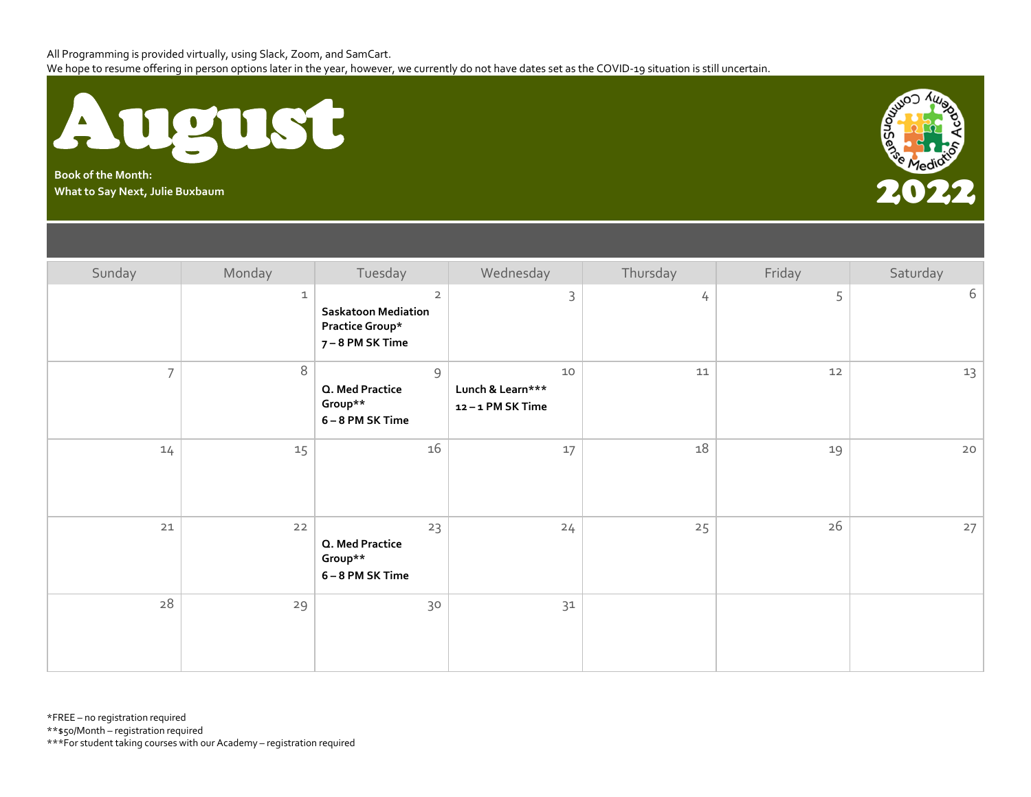



| Sunday         | Monday      | Tuesday                                                                             | Wednesday                                 | Thursday | Friday | Saturday |
|----------------|-------------|-------------------------------------------------------------------------------------|-------------------------------------------|----------|--------|----------|
|                | $\mathbf 1$ | $\overline{2}$<br><b>Saskatoon Mediation</b><br>Practice Group*<br>7 – 8 PM SK Time | 3                                         | 4        | 5      | 6        |
| $\overline{7}$ | $\,8\,$     | 9<br>Q. Med Practice<br>Group**<br>6-8 PM SK Time                                   | 10<br>Lunch & Learn***<br>12-1 PM SK Time | $11\,$   | 12     | 13       |
| 14             | 15          | 16                                                                                  | 17                                        | 18       | 19     | $20$     |
| 21             | 22          | 23<br>Q. Med Practice<br>Group**<br>6-8 PM SK Time                                  | 24                                        | 25       | 26     | 27       |
| 28             | 29          | 30                                                                                  | 31                                        |          |        |          |

\*FREE – no registration required

\*\*\$50/Month – registration required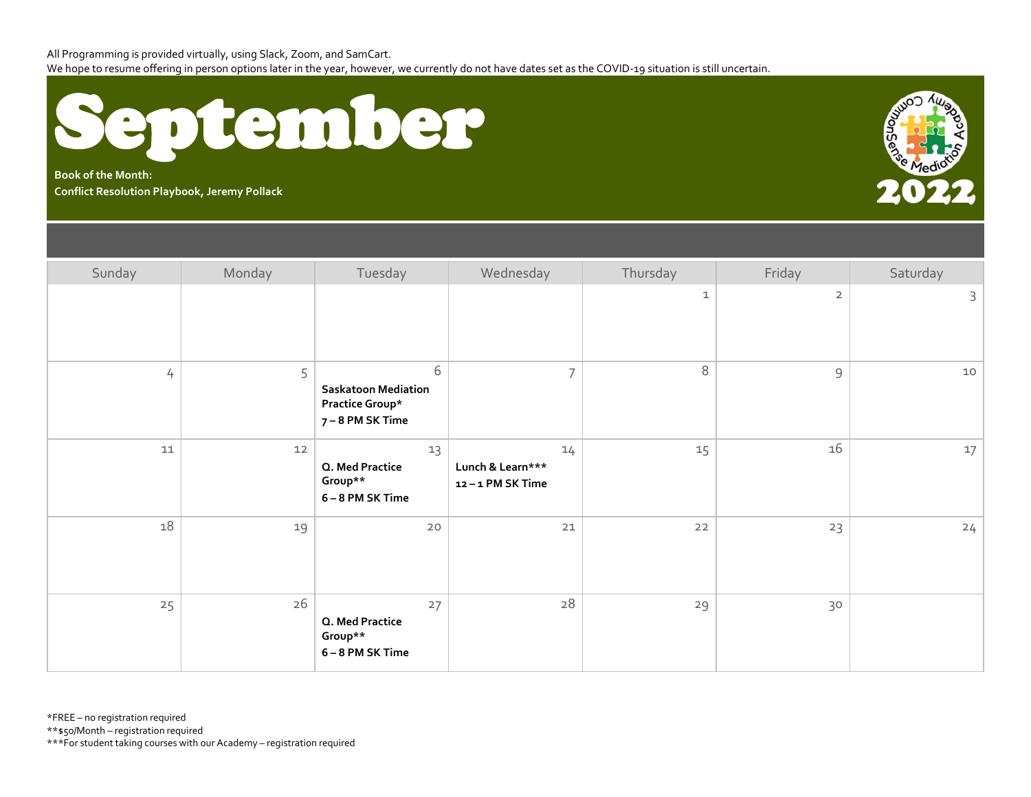

**Book of the Month:** Rook of the Month:<br>Conflict Resolution Playbook, Jeremy Pollack **2022, 2022, 2022, 2022, 2022, 2022, 2022, 2022, 202** 



| Sunday | Monday | Tuesday                                                                | Wednesday                                 | Thursday     | Friday              | Saturday |
|--------|--------|------------------------------------------------------------------------|-------------------------------------------|--------------|---------------------|----------|
|        |        |                                                                        |                                           | $\mathbf{1}$ | $\overline{2}$      | 3        |
| 4      | 5      | 6<br><b>Saskatoon Mediation</b><br>Practice Group*<br>7 – 8 PM SK Time | $\overline{7}$                            | $\,8\,$      | $\mathsf{S}\xspace$ | 10       |
| $11\,$ | $12$   | 13<br>Q. Med Practice<br>Group**<br>6-8 PM SK Time                     | 14<br>Lunch & Learn***<br>12-1 PM SK Time | 15           | 16                  | 17       |
| 18     | 19     | 20                                                                     | 21                                        | 22           | 23                  | 24       |
| 25     | 26     | 27<br>Q. Med Practice<br>Group**<br>6-8 PM SK Time                     | 28                                        | 29           | 30                  |          |

\*FREE – no registration required

\*\*\$50/Month – registration required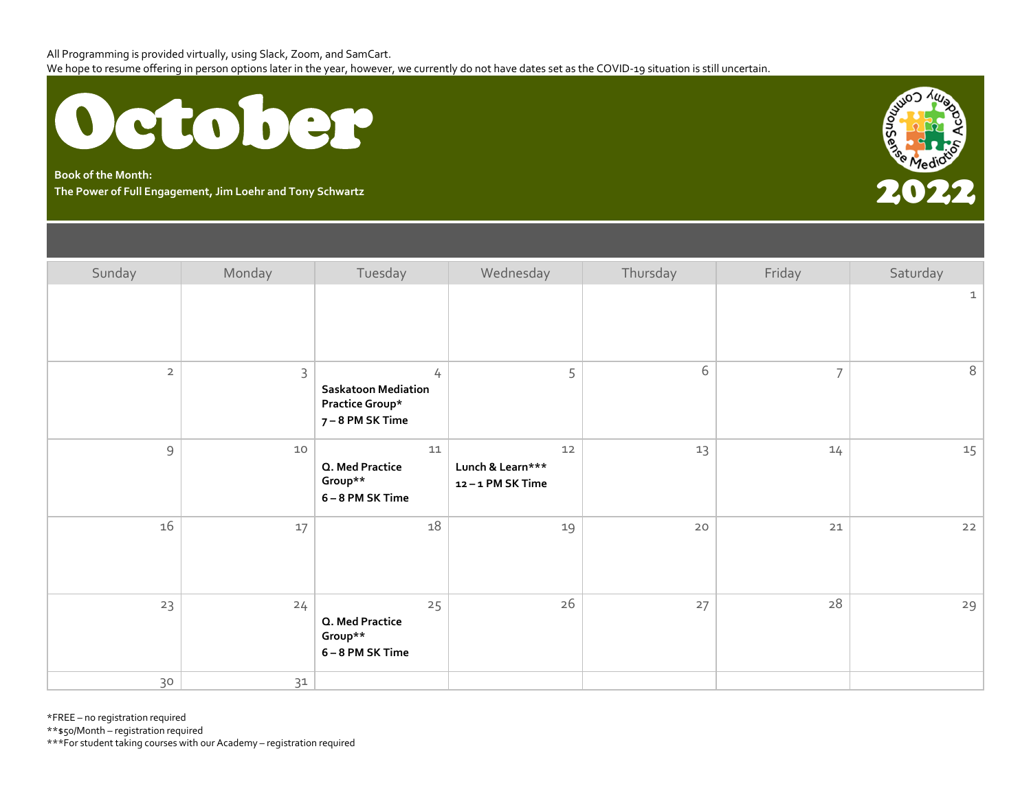

**Book of the Month: The Power of Full Engagement, Jim Loehr and Tony Schwartz** 2022



| Sunday         | Monday      | Tuesday                                                                      | Wednesday                                 | Thursday | Friday         | Saturday     |
|----------------|-------------|------------------------------------------------------------------------------|-------------------------------------------|----------|----------------|--------------|
|                |             |                                                                              |                                           |          |                | $\mathbf{1}$ |
| $\overline{2}$ | $\mathsf 3$ | $\overline{4}$<br>Saskatoon Mediation<br>Practice Group*<br>7 – 8 PM SK Time | 5                                         | 6        | $\overline{7}$ | $\,8\,$      |
| $\mathcal{G}$  | $10$        | $11\,$<br>Q. Med Practice<br>Group**<br>6-8 PM SK Time                       | 12<br>Lunch & Learn***<br>12-1 PM SK Time | 13       | 14             | 15           |
| 16             | $17\,$      | 18                                                                           | 19                                        | $20$     | 21             | 22           |
| 23             | 24          | 25<br>Q. Med Practice<br>Group**<br>6-8 PM SK Time                           | 26                                        | 27       | 28             | 29           |
| 30             | 31          |                                                                              |                                           |          |                |              |

\*FREE – no registration required

\*\*\$50/Month – registration required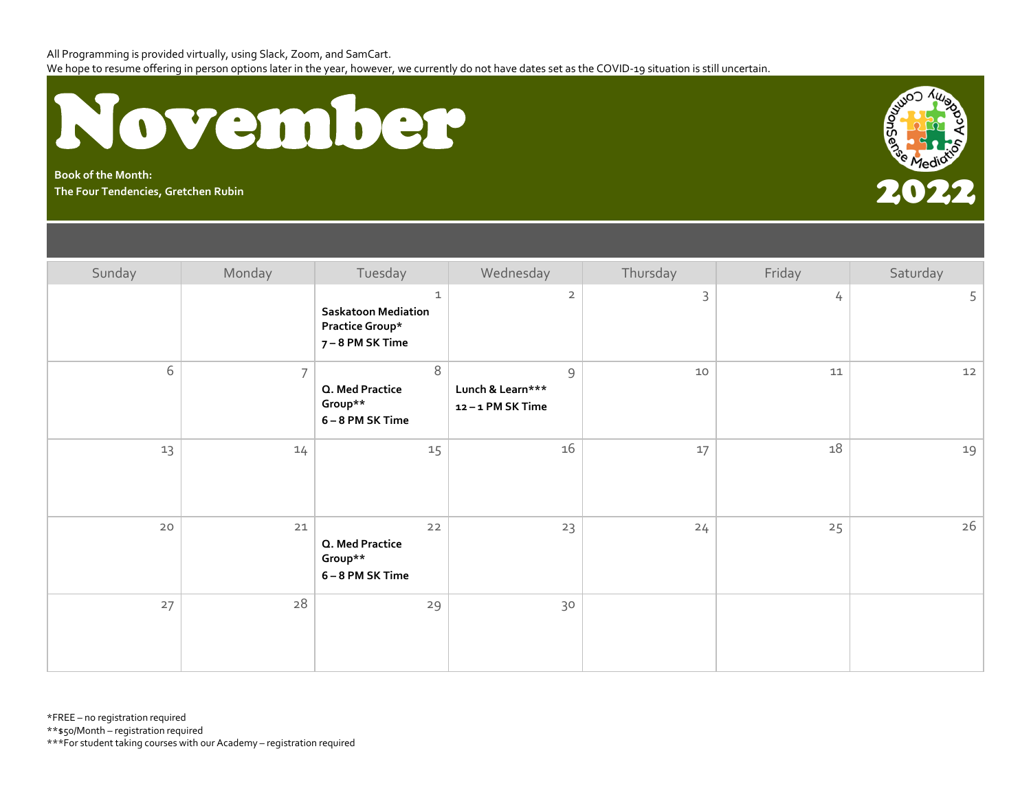

**Book of the Month:** Book of the Month:<br>The Four Tendencies, Gretchen Rubin<br>The Four Tendencies, Gretchen Rubin



| Sunday | Monday         | Tuesday                                                                          | Wednesday                                            | Thursday    | Friday | Saturday |
|--------|----------------|----------------------------------------------------------------------------------|------------------------------------------------------|-------------|--------|----------|
|        |                | $\mathbf 1$<br><b>Saskatoon Mediation</b><br>Practice Group*<br>7 – 8 PM SK Time | $\overline{2}$                                       | $\mathsf 3$ | 4      | 5        |
| 6      | $\overline{7}$ | $\,8\,$<br>Q. Med Practice<br>Group**<br>6-8 PM SK Time                          | $\mathcal{G}$<br>Lunch & Learn***<br>12-1 PM SK Time | 10          | 11     | 12       |
| 13     | 14             | 15                                                                               | 16                                                   | 17          | 18     | 19       |
| 20     | $21$           | $22$<br>Q. Med Practice<br>Group**<br>6-8 PM SK Time                             | 23                                                   | 24          | 25     | 26       |
| 27     | 28             | 29                                                                               | 30                                                   |             |        |          |

\*FREE – no registration required

\*\*\$50/Month – registration required